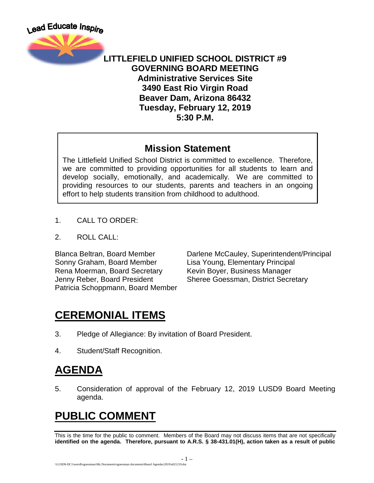

#### **LITTLEFIELD UNIFIED SCHOOL DISTRICT #9 GOVERNING BOARD MEETING Administrative Services Site 3490 East Rio Virgin Road Beaver Dam, Arizona 86432 Tuesday, February 12, 2019 5:30 P.M.**

#### **Mission Statement**

The Littlefield Unified School District is committed to excellence. Therefore, we are committed to providing opportunities for all students to learn and develop socially, emotionally, and academically. We are committed to providing resources to our students, parents and teachers in an ongoing effort to help students transition from childhood to adulthood.

- 1. CALL TO ORDER:
- 2. ROLL CALL:

Sonny Graham, Board Member Lisa Young, Elementary Principal Rena Moerman, Board Secretary Kevin Boyer, Business Manager Patricia Schoppmann, Board Member

Blanca Beltran, Board Member Darlene McCauley, Superintendent/Principal Jenny Reber, Board President Sheree Goessman, District Secretary

# **CEREMONIAL ITEMS**

- 3. Pledge of Allegiance: By invitation of Board President.
- 4. Student/Staff Recognition.

### **AGENDA**

5. Consideration of approval of the February 12, 2019 LUSD9 Board Meeting agenda.

# **PUBLIC COMMENT**

This is the time for the public to comment. Members of the Board may not discuss items that are not specifically **identified on the agenda. Therefore, pursuant to A.R.S. § 38-431.01(H), action taken as a result of public**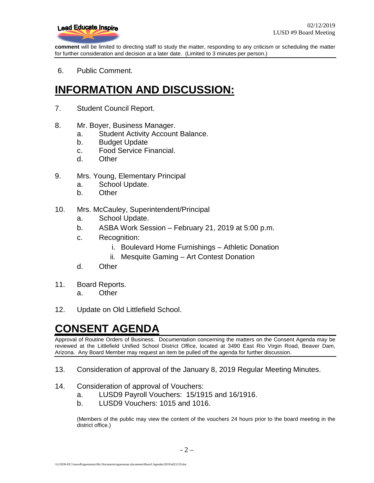

**comment** will be limited to directing staff to study the matter, responding to any criticism or scheduling the matter for further consideration and decision at a later date. (Limited to 3 minutes per person.)

6. Public Comment.

# **INFORMATION AND DISCUSSION:**

- 7. Student Council Report.
- 8. Mr. Boyer, Business Manager.
	- a. Student Activity Account Balance.
	- b. Budget Update
	- c. Food Service Financial.
	- d. Other
- 9. Mrs. Young, Elementary Principal
	- a. School Update.
	- b. Other
- 10. Mrs. McCauley, Superintendent/Principal
	- a. School Update.
	- b. ASBA Work Session February 21, 2019 at 5:00 p.m.
	- c. Recognition:
		- i. Boulevard Home Furnishings Athletic Donation
		- ii. Mesquite Gaming Art Contest Donation
	- d. Other
- 11. Board Reports.
	- a. Other
- 12. Update on Old Littlefield School.

### **CONSENT AGENDA**

Approval of Routine Orders of Business. Documentation concerning the matters on the Consent Agenda may be reviewed at the Littlefield Unified School District Office, located at 3490 East Rio Virgin Road, Beaver Dam, Arizona. Any Board Member may request an item be pulled off the agenda for further discussion.

- 13. Consideration of approval of the January 8, 2019 Regular Meeting Minutes.
- 14. Consideration of approval of Vouchers:
	- a. LUSD9 Payroll Vouchers: 15/1915 and 16/1916.
	- b. LUSD9 Vouchers: 1015 and 1016.

(Members of the public may view the content of the vouchers 24 hours prior to the board meeting in the district office.)